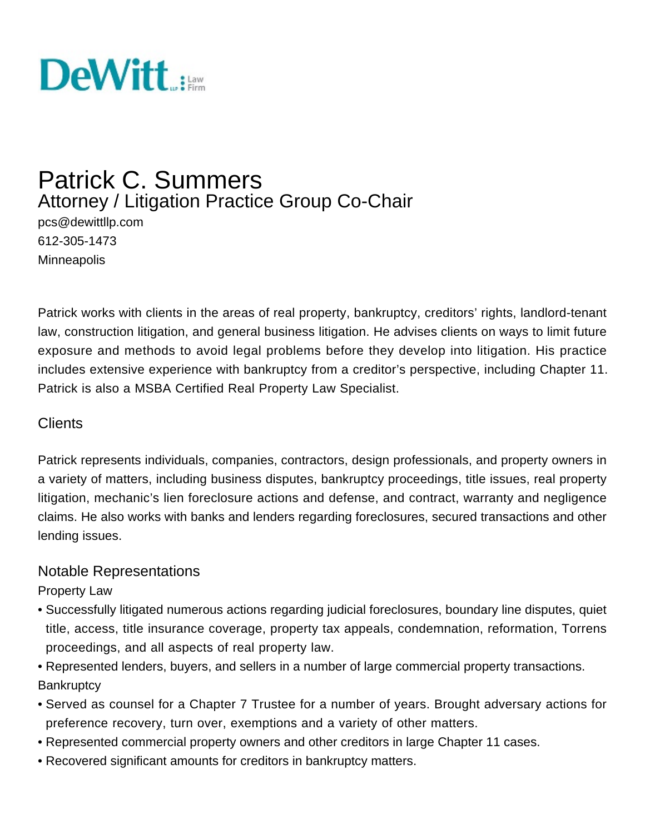

# Patrick C. Summers Attorney / Litigation Practice Group Co-Chair

pcs@dewittllp.com 612-305-1473 **Minneapolis** 

Patrick works with clients in the areas of real property, bankruptcy, creditors' rights, landlord-tenant law, construction litigation, and general business litigation. He advises clients on ways to limit future exposure and methods to avoid legal problems before they develop into litigation. His practice includes extensive experience with bankruptcy from a creditor's perspective, including Chapter 11. Patrick is also a MSBA Certified Real Property Law Specialist.

#### **Clients**

Patrick represents individuals, companies, contractors, design professionals, and property owners in a variety of matters, including business disputes, bankruptcy proceedings, title issues, real property litigation, mechanic's lien foreclosure actions and defense, and contract, warranty and negligence claims. He also works with banks and lenders regarding foreclosures, secured transactions and other lending issues.

#### Notable Representations

Property Law

- Successfully litigated numerous actions regarding judicial foreclosures, boundary line disputes, quiet title, access, title insurance coverage, property tax appeals, condemnation, reformation, Torrens proceedings, and all aspects of real property law.
- Represented lenders, buyers, and sellers in a number of large commercial property transactions. **Bankruptcy**
- Served as counsel for a Chapter 7 Trustee for a number of years. Brought adversary actions for preference recovery, turn over, exemptions and a variety of other matters.
- Represented commercial property owners and other creditors in large Chapter 11 cases.
- Recovered significant amounts for creditors in bankruptcy matters.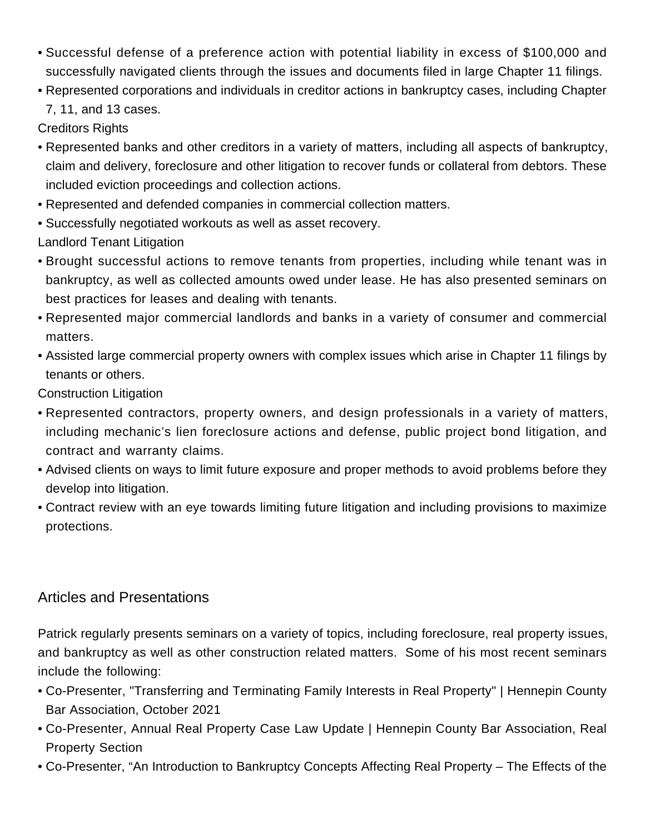- Successful defense of a preference action with potential liability in excess of \$100,000 and successfully navigated clients through the issues and documents filed in large Chapter 11 filings.
- Represented corporations and individuals in creditor actions in bankruptcy cases, including Chapter 7, 11, and 13 cases.

Creditors Rights

- Represented banks and other creditors in a variety of matters, including all aspects of bankruptcy, claim and delivery, foreclosure and other litigation to recover funds or collateral from debtors. These included eviction proceedings and collection actions.
- Represented and defended companies in commercial collection matters.
- Successfully negotiated workouts as well as asset recovery.

Landlord Tenant Litigation

- Brought successful actions to remove tenants from properties, including while tenant was in bankruptcy, as well as collected amounts owed under lease. He has also presented seminars on best practices for leases and dealing with tenants.
- Represented major commercial landlords and banks in a variety of consumer and commercial matters.
- Assisted large commercial property owners with complex issues which arise in Chapter 11 filings by tenants or others.

Construction Litigation

- Represented contractors, property owners, and design professionals in a variety of matters, including mechanic's lien foreclosure actions and defense, public project bond litigation, and contract and warranty claims.
- Advised clients on ways to limit future exposure and proper methods to avoid problems before they develop into litigation.
- Contract review with an eye towards limiting future litigation and including provisions to maximize protections.

## Articles and Presentations

Patrick regularly presents seminars on a variety of topics, including foreclosure, real property issues, and bankruptcy as well as other construction related matters. Some of his most recent seminars include the following:

- Co-Presenter, "Transferring and Terminating Family Interests in Real Property" | Hennepin County Bar Association, October 2021
- Co-Presenter, Annual Real Property Case Law Update | Hennepin County Bar Association, Real Property Section
- Co-Presenter, "An Introduction to Bankruptcy Concepts Affecting Real Property The Effects of the